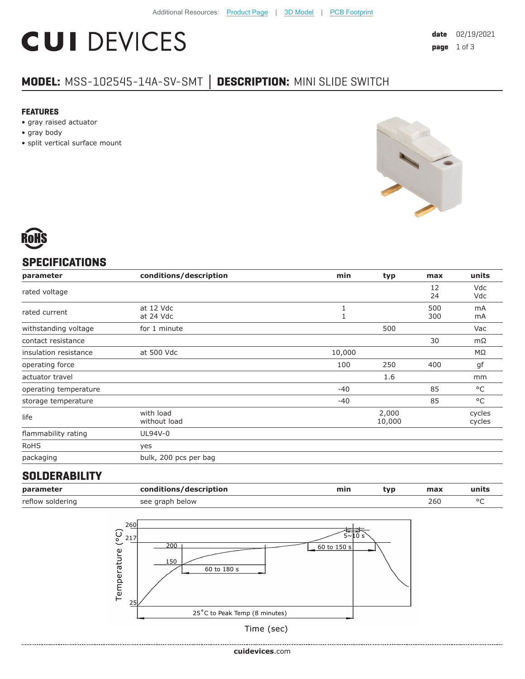# **CUI DEVICES**

#### **MODEL:** MSS-102545-14A-SV-SMT **│ DESCRIPTION:** MINI SLIDE SWITCH

#### **FEATURES**

- gray raised actuator
- gray body
- split vertical surface mount



### **SPECIFICATIONS**

| parameter             | conditions/description    | min    | typ             | max        | units            |
|-----------------------|---------------------------|--------|-----------------|------------|------------------|
| rated voltage         |                           |        |                 | 12<br>24   | Vdc<br>Vdc       |
| rated current         | at 12 Vdc<br>at 24 Vdc    | 1      |                 | 500<br>300 | mA<br>mA         |
| withstanding voltage  | for 1 minute              |        | 500             |            | Vac              |
| contact resistance    |                           |        |                 | 30         | $m\Omega$        |
| insulation resistance | at 500 Vdc                | 10,000 |                 |            | ΜΩ               |
| operating force       |                           | 100    | 250             | 400        | gf               |
| actuator travel       |                           |        | 1.6             |            | mm               |
| operating temperature |                           | $-40$  |                 | 85         | °C               |
| storage temperature   |                           | $-40$  |                 | 85         | $^{\circ}$ C     |
| life                  | with load<br>without load |        | 2,000<br>10,000 |            | cycles<br>cycles |
| flammability rating   | UL94V-0                   |        |                 |            |                  |
| <b>RoHS</b>           | yes                       |        |                 |            |                  |
| packaging             | bulk, 200 pcs per bag     |        |                 |            |                  |

#### **SOLDERABILITY**

| parameter        | conditions/description | min | tvp. | max | units |
|------------------|------------------------|-----|------|-----|-------|
| reflow soldering | see graph below        |     |      | 260 |       |



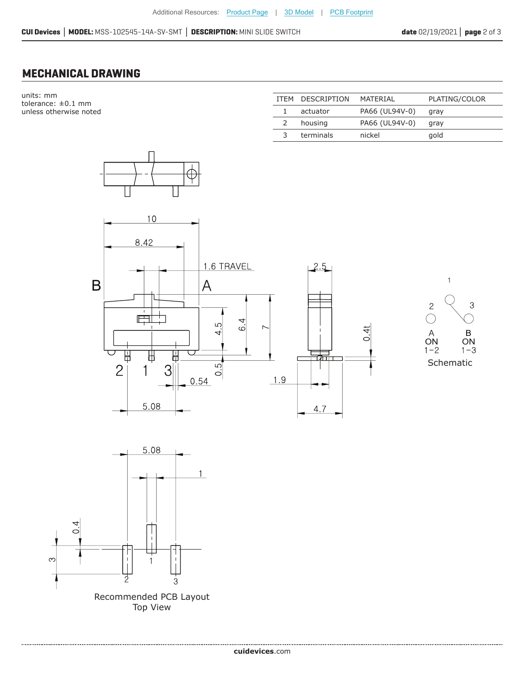**CUI Devices │ MODEL:** MSS-102545-14A-SV-SMT **│ DESCRIPTION:** MINI SLIDE SWITCH **date** 02/19/2021**│ page** 2 of 3

#### **MECHANICAL DRAWING**

units: mm tolerance: ±0.1 mm unless otherwise noted

|               | ITEM DESCRIPTION | MATFRIAI       | PLATING/COLOR |
|---------------|------------------|----------------|---------------|
|               | actuator         | PA66 (UL94V-0) | gray          |
| $\mathcal{L}$ | housing          | PA66 (UL94V-0) | gray          |
|               | terminals        | nickel         | gold          |







Recommended PCB Layout Top View